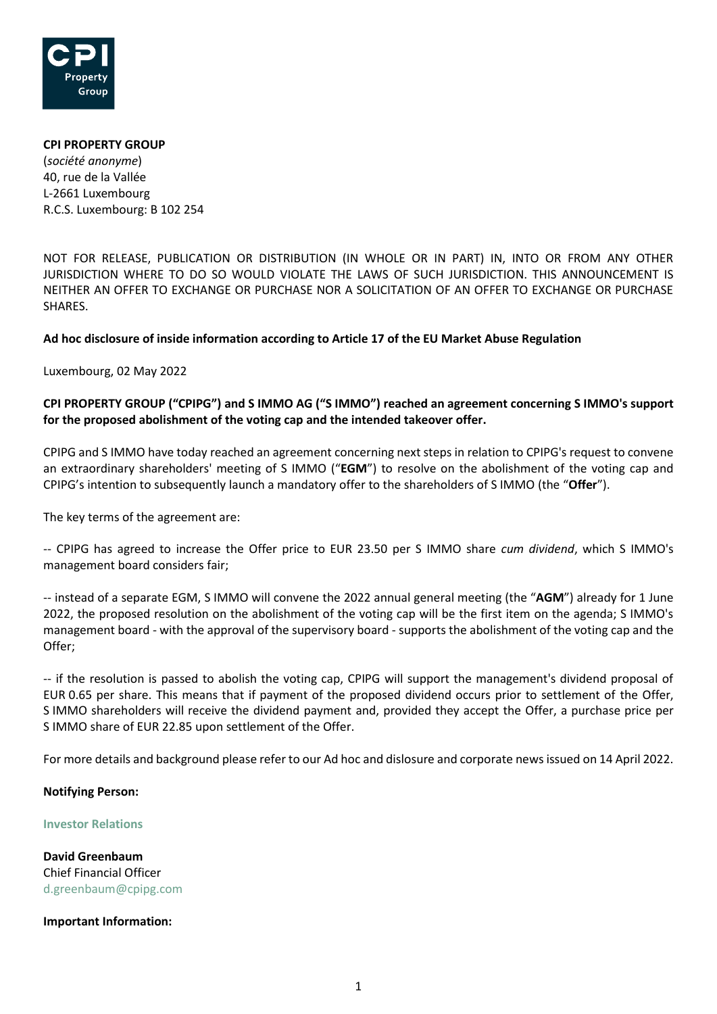

# **CPI PROPERTY GROUP** (*société anonyme*) 40, rue de la Vallée L-2661 Luxembourg R.C.S. Luxembourg: B 102 254

NOT FOR RELEASE, PUBLICATION OR DISTRIBUTION (IN WHOLE OR IN PART) IN, INTO OR FROM ANY OTHER JURISDICTION WHERE TO DO SO WOULD VIOLATE THE LAWS OF SUCH JURISDICTION. THIS ANNOUNCEMENT IS NEITHER AN OFFER TO EXCHANGE OR PURCHASE NOR A SOLICITATION OF AN OFFER TO EXCHANGE OR PURCHASE SHARES.

## **Ad hoc disclosure of inside information according to Article 17 of the EU Market Abuse Regulation**

Luxembourg, 02 May 2022

## **CPI PROPERTY GROUP ("CPIPG") and S IMMO AG ("S IMMO") reached an agreement concerning S IMMO's support for the proposed abolishment of the voting cap and the intended takeover offer.**

CPIPG and S IMMO have today reached an agreement concerning next steps in relation to CPIPG's request to convene an extraordinary shareholders' meeting of S IMMO ("**EGM**") to resolve on the abolishment of the voting cap and CPIPG's intention to subsequently launch a mandatory offer to the shareholders of S IMMO (the "**Offer**").

The key terms of the agreement are:

-- CPIPG has agreed to increase the Offer price to EUR 23.50 per S IMMO share *cum dividend*, which S IMMO's management board considers fair;

-- instead of a separate EGM, S IMMO will convene the 2022 annual general meeting (the "**AGM**") already for 1 June 2022, the proposed resolution on the abolishment of the voting cap will be the first item on the agenda; S IMMO's management board - with the approval of the supervisory board - supports the abolishment of the voting cap and the Offer;

-- if the resolution is passed to abolish the voting cap, CPIPG will support the management's dividend proposal of EUR 0.65 per share. This means that if payment of the proposed dividend occurs prior to settlement of the Offer, S IMMO shareholders will receive the dividend payment and, provided they accept the Offer, a purchase price per S IMMO share of EUR 22.85 upon settlement of the Offer.

For more details and background please refer to our Ad hoc and dislosure and corporate news issued on 14 April 2022.

### **Notifying Person:**

#### **Investor Relations**

**David Greenbaum**  Chief Financial Officer d.greenbaum@cpipg.com

### **Important Information:**